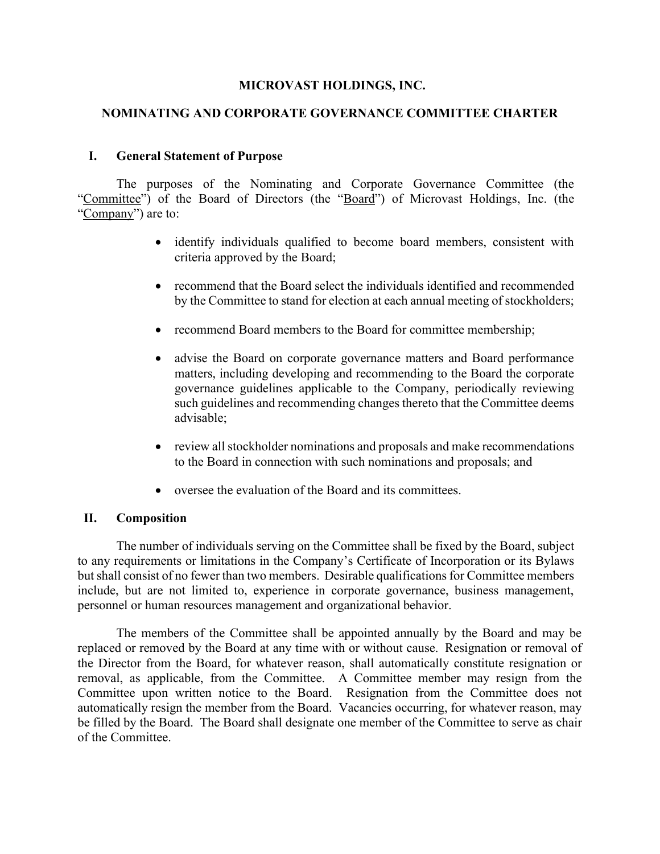### **MICROVAST HOLDINGS, INC.**

### **NOMINATING AND CORPORATE GOVERNANCE COMMITTEE CHARTER**

#### **I. General Statement of Purpose**

The purposes of the Nominating and Corporate Governance Committee (the "Committee") of the Board of Directors (the "Board") of Microvast Holdings, Inc. (the "Company") are to:

- identify individuals qualified to become board members, consistent with criteria approved by the Board;
- recommend that the Board select the individuals identified and recommended by the Committee to stand for election at each annual meeting of stockholders;
- recommend Board members to the Board for committee membership;
- advise the Board on corporate governance matters and Board performance matters, including developing and recommending to the Board the corporate governance guidelines applicable to the Company, periodically reviewing such guidelines and recommending changes thereto that the Committee deems advisable;
- review all stockholder nominations and proposals and make recommendations to the Board in connection with such nominations and proposals; and
- oversee the evaluation of the Board and its committees.

#### **II. Composition**

The number of individuals serving on the Committee shall be fixed by the Board, subject to any requirements or limitations in the Company's Certificate of Incorporation or its Bylaws but shall consist of no fewer than two members. Desirable qualifications for Committee members include, but are not limited to, experience in corporate governance, business management, personnel or human resources management and organizational behavior.

The members of the Committee shall be appointed annually by the Board and may be replaced or removed by the Board at any time with or without cause. Resignation or removal of the Director from the Board, for whatever reason, shall automatically constitute resignation or removal, as applicable, from the Committee. A Committee member may resign from the Committee upon written notice to the Board. Resignation from the Committee does not automatically resign the member from the Board. Vacancies occurring, for whatever reason, may be filled by the Board. The Board shall designate one member of the Committee to serve as chair of the Committee.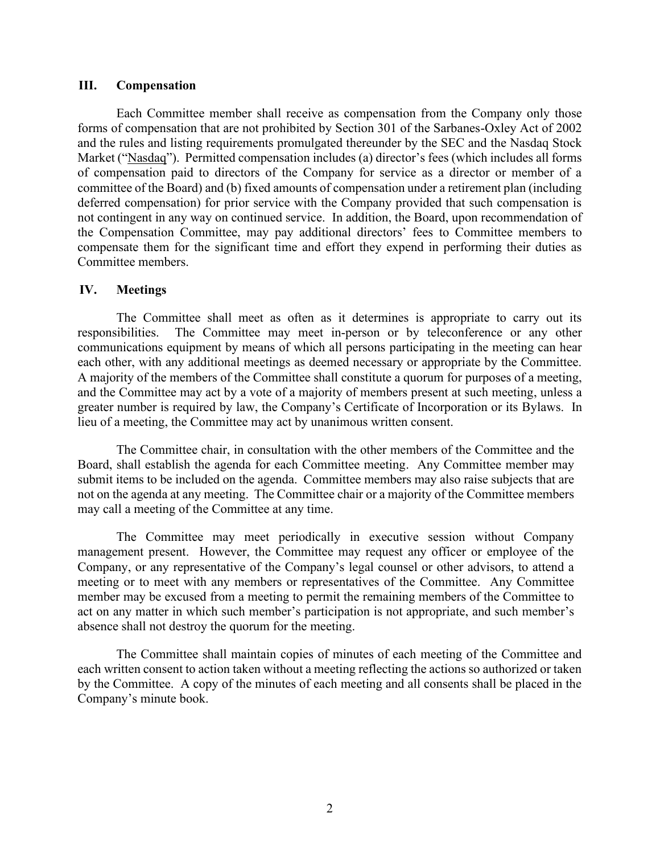#### **III. Compensation**

Each Committee member shall receive as compensation from the Company only those forms of compensation that are not prohibited by Section 301 of the Sarbanes-Oxley Act of 2002 and the rules and listing requirements promulgated thereunder by the SEC and the Nasdaq Stock Market ("Nasdaq"). Permitted compensation includes (a) director's fees (which includes all forms of compensation paid to directors of the Company for service as a director or member of a committee of the Board) and (b) fixed amounts of compensation under a retirement plan (including deferred compensation) for prior service with the Company provided that such compensation is not contingent in any way on continued service. In addition, the Board, upon recommendation of the Compensation Committee, may pay additional directors' fees to Committee members to compensate them for the significant time and effort they expend in performing their duties as Committee members.

#### **IV. Meetings**

The Committee shall meet as often as it determines is appropriate to carry out its responsibilities. The Committee may meet in-person or by teleconference or any other communications equipment by means of which all persons participating in the meeting can hear each other, with any additional meetings as deemed necessary or appropriate by the Committee. A majority of the members of the Committee shall constitute a quorum for purposes of a meeting, and the Committee may act by a vote of a majority of members present at such meeting, unless a greater number is required by law, the Company's Certificate of Incorporation or its Bylaws. In lieu of a meeting, the Committee may act by unanimous written consent.

The Committee chair, in consultation with the other members of the Committee and the Board, shall establish the agenda for each Committee meeting. Any Committee member may submit items to be included on the agenda. Committee members may also raise subjects that are not on the agenda at any meeting. The Committee chair or a majority of the Committee members may call a meeting of the Committee at any time.

The Committee may meet periodically in executive session without Company management present. However, the Committee may request any officer or employee of the Company, or any representative of the Company's legal counsel or other advisors, to attend a meeting or to meet with any members or representatives of the Committee. Any Committee member may be excused from a meeting to permit the remaining members of the Committee to act on any matter in which such member's participation is not appropriate, and such member's absence shall not destroy the quorum for the meeting.

The Committee shall maintain copies of minutes of each meeting of the Committee and each written consent to action taken without a meeting reflecting the actions so authorized or taken by the Committee. A copy of the minutes of each meeting and all consents shall be placed in the Company's minute book.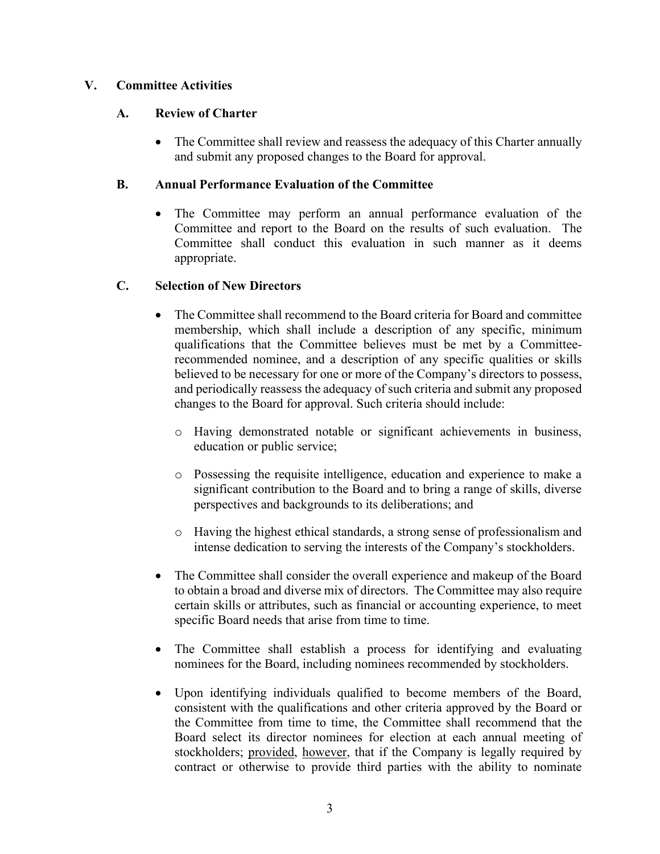## **V. Committee Activities**

## **A. Review of Charter**

• The Committee shall review and reassess the adequacy of this Charter annually and submit any proposed changes to the Board for approval.

## **B. Annual Performance Evaluation of the Committee**

The Committee may perform an annual performance evaluation of the Committee and report to the Board on the results of such evaluation. The Committee shall conduct this evaluation in such manner as it deems appropriate.

## **C. Selection of New Directors**

- The Committee shall recommend to the Board criteria for Board and committee membership, which shall include a description of any specific, minimum qualifications that the Committee believes must be met by a Committeerecommended nominee, and a description of any specific qualities or skills believed to be necessary for one or more of the Company's directors to possess, and periodically reassess the adequacy of such criteria and submit any proposed changes to the Board for approval. Such criteria should include:
	- o Having demonstrated notable or significant achievements in business, education or public service;
	- o Possessing the requisite intelligence, education and experience to make a significant contribution to the Board and to bring a range of skills, diverse perspectives and backgrounds to its deliberations; and
	- o Having the highest ethical standards, a strong sense of professionalism and intense dedication to serving the interests of the Company's stockholders.
- The Committee shall consider the overall experience and makeup of the Board to obtain a broad and diverse mix of directors. The Committee may also require certain skills or attributes, such as financial or accounting experience, to meet specific Board needs that arise from time to time.
- The Committee shall establish a process for identifying and evaluating nominees for the Board, including nominees recommended by stockholders.
- Upon identifying individuals qualified to become members of the Board, consistent with the qualifications and other criteria approved by the Board or the Committee from time to time, the Committee shall recommend that the Board select its director nominees for election at each annual meeting of stockholders; provided, however, that if the Company is legally required by contract or otherwise to provide third parties with the ability to nominate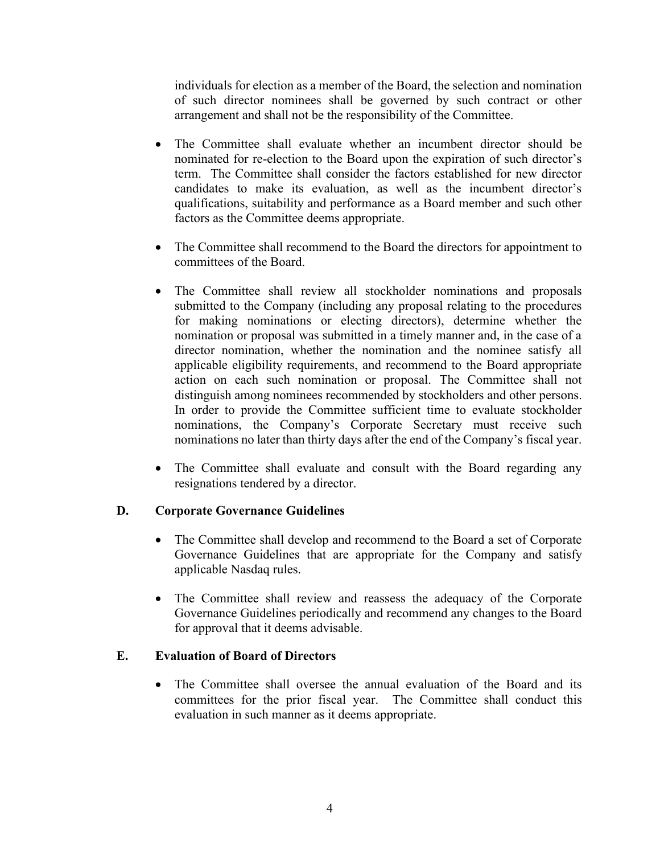individuals for election as a member of the Board, the selection and nomination of such director nominees shall be governed by such contract or other arrangement and shall not be the responsibility of the Committee.

- The Committee shall evaluate whether an incumbent director should be nominated for re-election to the Board upon the expiration of such director's term. The Committee shall consider the factors established for new director candidates to make its evaluation, as well as the incumbent director's qualifications, suitability and performance as a Board member and such other factors as the Committee deems appropriate.
- The Committee shall recommend to the Board the directors for appointment to committees of the Board.
- The Committee shall review all stockholder nominations and proposals submitted to the Company (including any proposal relating to the procedures for making nominations or electing directors), determine whether the nomination or proposal was submitted in a timely manner and, in the case of a director nomination, whether the nomination and the nominee satisfy all applicable eligibility requirements, and recommend to the Board appropriate action on each such nomination or proposal. The Committee shall not distinguish among nominees recommended by stockholders and other persons. In order to provide the Committee sufficient time to evaluate stockholder nominations, the Company's Corporate Secretary must receive such nominations no later than thirty days after the end of the Company's fiscal year.
- The Committee shall evaluate and consult with the Board regarding any resignations tendered by a director.

# **D. Corporate Governance Guidelines**

- The Committee shall develop and recommend to the Board a set of Corporate Governance Guidelines that are appropriate for the Company and satisfy applicable Nasdaq rules.
- The Committee shall review and reassess the adequacy of the Corporate Governance Guidelines periodically and recommend any changes to the Board for approval that it deems advisable.

# **E. Evaluation of Board of Directors**

• The Committee shall oversee the annual evaluation of the Board and its committees for the prior fiscal year. The Committee shall conduct this evaluation in such manner as it deems appropriate.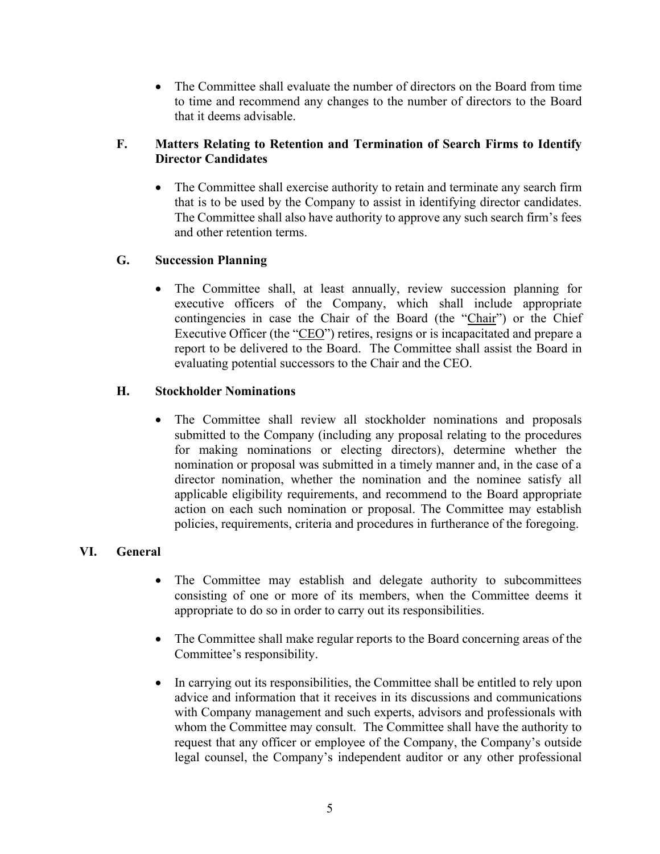• The Committee shall evaluate the number of directors on the Board from time to time and recommend any changes to the number of directors to the Board that it deems advisable.

# **F. Matters Relating to Retention and Termination of Search Firms to Identify Director Candidates**

• The Committee shall exercise authority to retain and terminate any search firm that is to be used by the Company to assist in identifying director candidates. The Committee shall also have authority to approve any such search firm's fees and other retention terms.

# **G. Succession Planning**

• The Committee shall, at least annually, review succession planning for executive officers of the Company, which shall include appropriate contingencies in case the Chair of the Board (the "Chair") or the Chief Executive Officer (the "CEO") retires, resigns or is incapacitated and prepare a report to be delivered to the Board. The Committee shall assist the Board in evaluating potential successors to the Chair and the CEO.

## **H. Stockholder Nominations**

• The Committee shall review all stockholder nominations and proposals submitted to the Company (including any proposal relating to the procedures for making nominations or electing directors), determine whether the nomination or proposal was submitted in a timely manner and, in the case of a director nomination, whether the nomination and the nominee satisfy all applicable eligibility requirements, and recommend to the Board appropriate action on each such nomination or proposal. The Committee may establish policies, requirements, criteria and procedures in furtherance of the foregoing.

# **VI. General**

- The Committee may establish and delegate authority to subcommittees consisting of one or more of its members, when the Committee deems it appropriate to do so in order to carry out its responsibilities.
- The Committee shall make regular reports to the Board concerning areas of the Committee's responsibility.
- In carrying out its responsibilities, the Committee shall be entitled to rely upon advice and information that it receives in its discussions and communications with Company management and such experts, advisors and professionals with whom the Committee may consult. The Committee shall have the authority to request that any officer or employee of the Company, the Company's outside legal counsel, the Company's independent auditor or any other professional